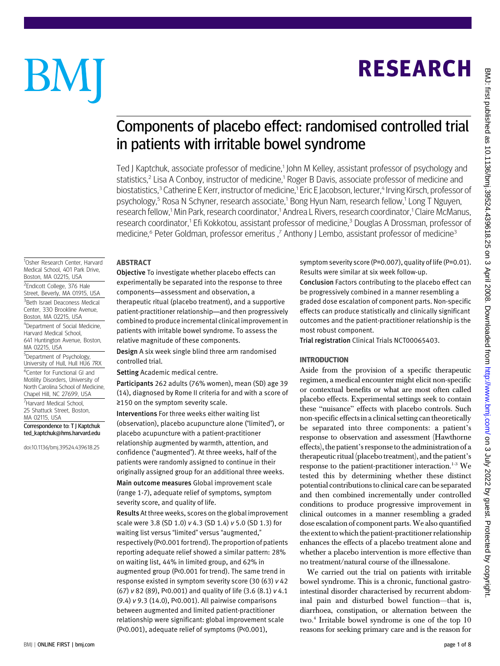# **RESEARCH** RESEARCH

# BM

<sup>1</sup>Osher Research Center, Harvard Medical School, 401 Park Drive, Boston, MA 02215, USA <sup>2</sup>Endicott College, 376 Hale Street, Beverly, MA 01915, USA 3 Beth Israel Deaconess Medical Center, 330 Brookline Avenue, Boston, MA 02215, USA 4 Department of Social Medicine, Harvard Medical School, 641 Huntington Avenue, Boston,

MA 02215, USA

<sup>5</sup>Department of Psychology, University of Hull, Hull HU6 7RX <sup>6</sup>Center for Functional GI and Motility Disorders, University of North Carolina School of Medicine, Chapel Hill, NC 27699, USA <sup>7</sup>Harvard Medical School, 25 Shattuck Street, Boston, MA 02115, USA

Correspondence to: T J Kaptchuk ted\_kaptchuk@hms.harvard.edu doi:10.1136/bmj.39524.439618.25

## Components of placebo effect: randomised controlled trial in patients with irritable bowel syndrome

Ted J Kaptchuk, associate professor of medicine,<sup>1</sup> John M Kelley, assistant professor of psychology and statistics,<sup>2</sup> Lisa A Conboy, instructor of medicine,<sup>1</sup> Roger B Davis, associate professor of medicine and biostatistics,<sup>3</sup> Catherine E Kerr, instructor of medicine,<sup>1</sup> Eric E Jacobson, lecturer,<sup>4</sup> Irving Kirsch, professor of psychology,<sup>5</sup> Rosa N Schyner, research associate,<sup>1</sup> Bong Hyun Nam, research fellow,<sup>1</sup> Long T Nguyen, research fellow,<sup>1</sup> Min Park, research coordinator,<sup>1</sup> Andrea L Rivers, research coordinator,<sup>1</sup> Claire McManus, research coordinator,<sup>1</sup> Efi Kokkotou, assistant professor of medicine,<sup>3</sup> Douglas A Drossman, professor of medicine,<sup>6</sup> Peter Goldman, professor emeritus,<sup>7</sup> Anthony J Lembo, assistant professor of medicine<sup>3</sup>

#### **ABSTRACT**

Objective To investigate whether placebo effects can experimentally be separated into the response to three components—assessment and observation, a therapeutic ritual (placebo treatment), and a supportive patient-practitioner relationship—and then progressively combined to produce incremental clinical improvement in patients with irritable bowel syndrome. To assess the relative magnitude of these components.

Design A six week single blind three arm randomised controlled trial.

Setting Academic medical centre.

Participants 262 adults (76% women), mean (SD) age 39 (14), diagnosed by Rome II criteria for and with a score of ≥150 on the symptom severity scale.

Interventions For three weeks either waiting list (observation), placebo acupuncture alone ("limited"), or placebo acupuncture with a patient-practitioner relationship augmented by warmth, attention, and confidence ("augmented"). At three weeks, half of the patients were randomly assigned to continue in their originally assigned group for an additional three weeks.

Main outcome measures Global improvement scale (range 1-7), adequate relief of symptoms, symptom severity score, and quality of life.

Results At three weeks, scores on the global improvement scale were 3.8 (SD 1.0) v 4.3 (SD 1.4) v 5.0 (SD 1.3) for waiting list versus "limited" versus "augmented," respectively (P<0.001 for trend). The proportion of patients reporting adequate relief showed a similar pattern: 28% on waiting list, 44% in limited group, and 62% in augmented group (P<0.001 for trend). The same trend in response existed in symptom severity score (30 (63) v 42 (67) v 82 (89), P<0.001) and quality of life (3.6 (8.1) v 4.1 (9.4) v 9.3 (14.0), P<0.001). All pairwise comparisons between augmented and limited patient-practitioner relationship were significant: global improvement scale (P<0.001), adequate relief of symptoms (P<0.001),

symptom severity score (P=0.007), quality of life (P=0.01). Results were similar at six week follow-up.

Conclusion Factors contributing to the placebo effect can be progressively combined in a manner resembling a graded dose escalation of component parts. Non-specific effects can produce statistically and clinically significant outcomes and the patient-practitioner relationship is the most robust component.

Trial registration Clinical Trials NCT00065403.

Aside from the provision of a specific therapeutic regimen, a medical encounter might elicit non-specific or contextual benefits or what are most often called placebo effects. Experimental settings seek to contain these "nuisance" effects with placebo controls. Such non-specific effects in a clinical setting can theoretically be separated into three components: a patient's response to observation and assessment (Hawthorne effects), the patient's response to the administration of a therapeutic ritual (placebotreatment), and the patient's response to the patient-practitioner interaction.<sup>1-3</sup> We tested this by determining whether these distinct potential contributions to clinical care can be separated and then combined incrementally under controlled conditions to produce progressive improvement in clinical outcomes in a manner resembling a graded dose escalation of component parts.We also quantified the extent to which the patient-practitioner relationship enhances the effects of a placebo treatment alone and whether a placebo intervention is more effective than no treatment/natural course of the illnessalone.

We carried out the trial on patients with irritable bowel syndrome. This is a chronic, functional gastrointestinal disorder characterised by recurrent abdominal pain and disturbed bowel function—that is, diarrhoea, constipation, or alternation between the two.4 Irritable bowel syndrome is one of the top 10 reasons for seeking primary care and is the reason for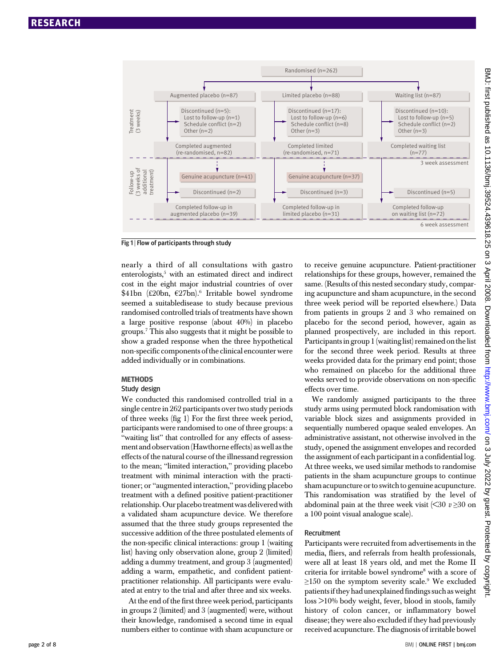

Fig 1 | Flow of participants through study

nearly a third of all consultations with gastro enterologists,<sup>5</sup> with an estimated direct and indirect cost in the eight major industrial countries of over \$41bn (£20bn, €27bn).<sup>6</sup> Irritable bowel syndrome seemed a suitabledisease to study because previous randomised controlled trials of treatments have shown a large positive response (about 40%) in placebo groups.7 This also suggests that it might be possible to show a graded response when the three hypothetical non-specific components ofthe clinical encounter were added individually or in combinations.

## Study design

We conducted this randomised controlled trial in a single centre in 262 participants over two study periods of three weeks (fig 1) For the first three week period, participants were randomised to one of three groups: a "waiting list" that controlled for any effects of assessment and observation(Hawthorne effects) as well asthe effects of the natural course of the illnessand regression to the mean; "limited interaction," providing placebo treatment with minimal interaction with the practitioner; or "augmented interaction," providing placebo treatment with a defined positive patient-practitioner relationship.Our placebotreatment was delivered with a validated sham acupuncture device. We therefore assumed that the three study groups represented the successive addition of the three postulated elements of the non-specific clinical interactions: group 1 (waiting list) having only observation alone, group 2 (limited) adding a dummy treatment, and group 3 (augmented) adding a warm, empathetic, and confident patientpractitioner relationship. All participants were evaluated at entry to the trial and after three and six weeks.

At the end of the first three week period, participants in groups 2 (limited) and 3 (augmented) were, without their knowledge, randomised a second time in equal numbers either to continue with sham acupuncture or

to receive genuine acupuncture. Patient-practitioner relationships for these groups, however, remained the same. (Results of this nested secondary study, comparing acupuncture and sham acupuncture, in the second three week period will be reported elsewhere.) Data from patients in groups 2 and 3 who remained on placebo for the second period, however, again as planned prospectively, are included in this report. Participants in group 1(waiting list) remained onthe list for the second three week period. Results at three weeks provided data for the primary end point; those who remained on placebo for the additional three weeks served to provide observations on non-specific effects over time.

We randomly assigned participants to the three study arms using permuted block randomisation with variable block sizes and assignments provided in sequentially numbered opaque sealed envelopes. An administrative assistant, not otherwise involved in the study, opened the assignment envelopes and recorded the assignment of each participant in a confidential log. At three weeks, we used similar methods to randomise patients in the sham acupuncture groups to continue sham acupuncture or to switch to genuine acupuncture. This randomisation was stratified by the level of abdominal pain at the three week visit ( $\leq 30$  v  $\geq 30$  on a 100 point visual analogue scale).

#### Recruitment

Participants were recruited from advertisements in the media, fliers, and referrals from health professionals, were all at least 18 years old, and met the Rome II criteria for irritable bowel syndrome<sup>8</sup> with a score of  $\geq$ 150 on the symptom severity scale.<sup>9</sup> We excluded patients ifthey had unexplainedfindings such as weight loss >10% body weight, fever, blood in stools, family history of colon cancer, or inflammatory bowel disease; they were also excluded if they had previously received acupuncture. The diagnosis of irritable bowel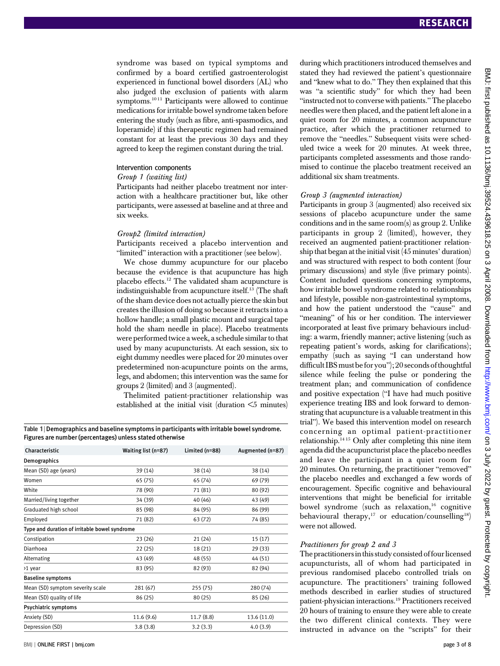syndrome was based on typical symptoms and confirmed by a board certified gastroenterologist experienced in functional bowel disorders (AL) who also judged the exclusion of patients with alarm symptoms.<sup>1011</sup> Participants were allowed to continue medications for irritable bowel syndrome taken before entering the study (such as fibre, anti-spasmodics, and loperamide) if this therapeutic regimen had remained constant for at least the previous 30 days and they agreed to keep the regimen constant during the trial.

#### Intervention components

#### Group 1 (waiting list)

Participants had neither placebo treatment nor interaction with a healthcare practitioner but, like other participants, were assessed at baseline and at three and six weeks.

#### Group2 (limited interaction)

Participants received a placebo intervention and "limited" interaction with a practitioner (see below).

We chose dummy acupuncture for our placebo because the evidence is that acupuncture has high placebo effects.12 The validated sham acupuncture is indistinguishable from acupuncture itself.13 (The shaft of the sham device does not actually pierce the skin but creates the illusion of doing so because it retracts into a hollow handle; a small plastic mount and surgical tape hold the sham needle in place). Placebo treatments were performed twice a week, a schedule similar to that used by many acupuncturists. At each session, six to eight dummy needles were placed for 20 minutes over predetermined non-acupuncture points on the arms, legs, and abdomen; this intervention was the same for groups 2 (limited) and 3 (augmented).

Thelimited patient-practitioner relationship was established at the initial visit (duration <5 minutes)

Table 1 <sup>|</sup> Demographics and baseline symptoms in participants with irritable bowel syndrome. Figures are number (percentages) unless stated otherwise

| Characteristic                                | Waiting list (n=87) | Limited (n=88) | Augmented (n=87) |
|-----------------------------------------------|---------------------|----------------|------------------|
| Demographics                                  |                     |                |                  |
| Mean (SD) age (years)                         | 39 (14)             | 38 (14)        | 38 (14)          |
| Women                                         | 65 (75)             | 65 (74)        | 69 (79)          |
| White                                         | 78 (90)             | 71 (81)        | 80 (92)          |
| Married/living together                       | 34 (39)             | 40 (46)        | 43 (49)          |
| Graduated high school                         | 85 (98)             | 84 (95)        | 86 (99)          |
| Employed                                      | 71 (82)             | 63 (72)        | 74 (85)          |
| Type and duration of irritable bowel syndrome |                     |                |                  |
| Constipation                                  | 23(26)              | 21 (24)        | 15(17)           |
| Diarrhoea                                     | 22(25)              | 18 (21)        | 29 (33)          |
| Alternating                                   | 43 (49)             | 48 (55)        | 44 (51)          |
| >1 year                                       | 83 (95)             | 82 (93)        | 82 (94)          |
| <b>Baseline symptoms</b>                      |                     |                |                  |
| Mean (SD) symptom severity scale              | 281 (67)            | 255(75)        | 280 (74)         |
| Mean (SD) quality of life                     | 86 (25)             | 80(25)         | 85 (26)          |
| Psychiatric symptoms                          |                     |                |                  |
| Anxiety (SD)                                  | 11.6(9.6)           | 11.7(8.8)      | 13.6 (11.0)      |
| Depression (SD)                               | 3.8(3.8)            | 3.2(3.3)       | 4.0(3.9)         |

during which practitioners introduced themselves and stated they had reviewed the patient's questionnaire and "knew what to do." They then explained that this was "a scientific study" for which they had been "instructed not to converse with patients." The placebo needles were then placed, and the patient left alone in a quiet room for 20 minutes, a common acupuncture practice, after which the practitioner returned to remove the "needles." Subsequent visits were scheduled twice a week for 20 minutes. At week three, participants completed assessments and those randomised to continue the placebo treatment received an additional six sham treatments.

#### Group 3 (augmented interaction)

Participants in group 3 (augmented) also received six sessions of placebo acupuncture under the same conditions and in the same room(s) as group 2. Unlike participants in group 2 (limited), however, they received an augmented patient-practitioner relationship that began at the initial visit  $(45 \text{ minutes}^3 \text{ duration})$ and was structured with respect to both content (four primary discussions) and style (five primary points). Content included questions concerning symptoms, how irritable bowel syndrome related to relationships and lifestyle, possible non-gastrointestinal symptoms, and how the patient understood the "cause" and "meaning" of his or her condition. The interviewer incorporated at least five primary behaviours including: a warm, friendly manner; active listening (such as repeating patient's words, asking for clarifications); empathy (such as saying "I can understand how difficult IBS must be for you"); 20 seconds of thoughtful silence while feeling the pulse or pondering the treatment plan; and communication of confidence and positive expectation ("I have had much positive experience treating IBS and look forward to demonstrating that acupuncture is a valuable treatment in this trial"). We based this intervention model on research concerning an optimal patient-practitioner relationship.14 15 Only after completing this nine item agenda did the acupuncturist place the placebo needles and leave the participant in a quiet room for 20 minutes. On returning, the practitioner "removed" the placebo needles and exchanged a few words of encouragement. Specific cognitive and behavioural interventions that might be beneficial for irritable bowel syndrome (such as relaxation, $16$  cognitive behavioural therapy,<sup>17</sup> or education/counselling<sup>18</sup>) were not allowed.

#### Practitioners for group 2 and 3

The practitioners in this study consisted of four licensed acupuncturists, all of whom had participated in previous randomised placebo controlled trials on acupuncture. The practitioners' training followed methods described in earlier studies of structured patient-physician interactions.19 Practitioners received 20 hours of training to ensure they were able to create the two different clinical contexts. They were instructed in advance on the "scripts" for their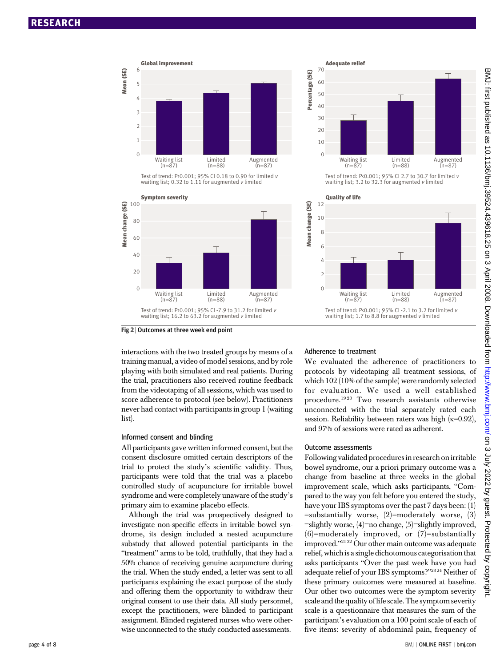





70 Percentage (SE) Percentage (SE) 60 50 40 30  $20$ 10  $\Omega$ Waiting list Limited Augmented  $(n=87)$ (n=88)  $(n=87)$ 

Test of trend: P<0.001; 95% CI 2.7 to 30.7 for limited *<sup>v</sup>* waiting list; 3.2 to 32.3 for augmented *v* limited



Fig 2 <sup>|</sup> Outcomes at three week end point

interactions with the two treated groups by means of a training manual, a video of model sessions, and by role playing with both simulated and real patients. During the trial, practitioners also received routine feedback from the videotaping of all sessions, which was used to score adherence to protocol (see below). Practitioners never had contact with participants in group 1 (waiting list).

#### Informed consent and blinding

All participants gave written informed consent, but the consent disclosure omitted certain descriptors of the trial to protect the study's scientific validity. Thus, participants were told that the trial was a placebo controlled study of acupuncture for irritable bowel syndrome and were completely unaware of the study's primary aim to examine placebo effects.

Although the trial was prospectively designed to investigate non-specific effects in irritable bowel syndrome, its design included a nested acupuncture substudy that allowed potential participants in the "treatment" arms to be told, truthfully, that they had a 50% chance of receiving genuine acupuncture during the trial. When the study ended, a letter was sent to all participants explaining the exact purpose of the study and offering them the opportunity to withdraw their original consent to use their data. All study personnel, except the practitioners, were blinded to participant assignment. Blinded registered nurses who were otherwise unconnected to the study conducted assessments.

#### Adherence to treatment

We evaluated the adherence of practitioners to protocols by videotaping all treatment sessions, of which 102 (10% of the sample) were randomly selected for evaluation. We used a well established procedure.<sup>1920</sup> Two research assistants otherwise unconnected with the trial separately rated each session. Reliability between raters was high  $(\kappa=0.92)$ , and 97% of sessions were rated as adherent.

#### Outcome assessments

Following validated procedures in research on irritable bowel syndrome, our a priori primary outcome was a change from baseline at three weeks in the global improvement scale, which asks participants, "Compared to the way you felt before you entered the study, have your IBS symptoms over the past 7 days been: (1) =substantially worse, (2)=moderately worse, (3) =slightly worse, (4)=no change, (5)=slightly improved, (6)=moderately improved, or (7)=substantially improved."21 22 Our other main outcome was adequate relief, which is a single dichotomous categorisation that asks participants "Over the past week have you had adequate relief of your IBS symptoms?"23 24 Neither of these primary outcomes were measured at baseline. Our other two outcomes were the symptom severity scale and the quality of life scale. The symptom severity scale is a questionnaire that measures the sum of the participant's evaluation on a 100 point scale of each of five items: severity of abdominal pain, frequency of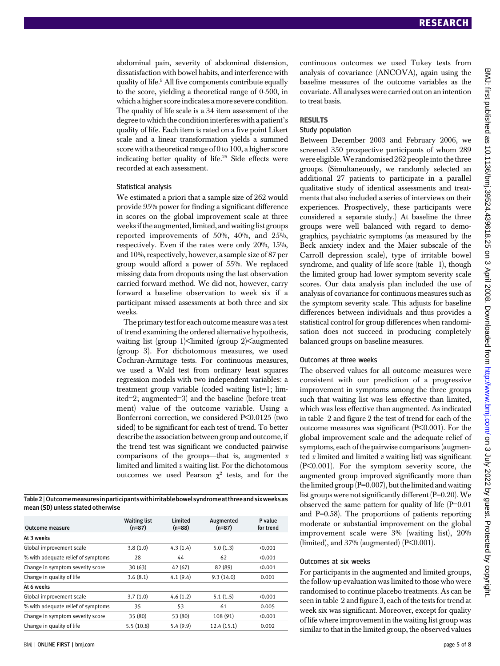abdominal pain, severity of abdominal distension, dissatisfaction with bowel habits, and interference with quality of life.<sup>9</sup> All five components contribute equally to the score, yielding a theoretical range of 0-500, in which a higher score indicates a more severe condition. The quality of life scale is a 34 item assessment of the degree to which the condition interferes with a patient's quality of life. Each item is rated on a five point Likert scale and a linear transformation yields a summed score with a theoretical range of 0 to 100, a higher score indicating better quality of life. $25$  Side effects were recorded at each assessment.

#### Statistical analysis

We estimated a priori that a sample size of 262 would provide 95% power for finding a significant difference in scores on the global improvement scale at three weeks if the augmented, limited, and waiting list groups reported improvements of 50%, 40%, and 25%, respectively. Even if the rates were only 20%, 15%, and 10%, respectively, however, a sample size of 87 per group would afford a power of 55%. We replaced missing data from dropouts using the last observation carried forward method. We did not, however, carry forward a baseline observation to week six if a participant missed assessments at both three and six weeks.

The primary test for each outcome measure was a test of trend examining the ordered alternative hypothesis, waiting list (group 1) $\dim$ ited (group 2) $\dim$ eaugmented (group 3). For dichotomous measures, we used Cochran-Armitage tests. For continuous measures, we used a Wald test from ordinary least squares regression models with two independent variables: a treatment group variable (coded waiting list=1; limited=2; augmented=3) and the baseline (before treatment) value of the outcome variable. Using a Bonferroni correction, we considered P<0.0125 (two sided) to be significant for each test of trend. To better describe the association between group and outcome, if the trend test was significant we conducted pairwise comparisons of the groups—that is, augmented  $v$ limited and limited  $v$  waiting list. For the dichotomous outcomes we used Pearson  $\chi^2$  tests, and for the

Table 2 <sup>|</sup> Outcomemeasuresinparticipantswithirritablebowelsyndromeatthreeandsixweeksas mean (SD) unless stated otherwise

| <b>Outcome measure</b>             | <b>Waiting list</b><br>$(n=87)$ | Limited<br>$(n=88)$ | Augmented<br>$(n=87)$ | P value<br>for trend |
|------------------------------------|---------------------------------|---------------------|-----------------------|----------------------|
| At 3 weeks                         |                                 |                     |                       |                      |
| Global improvement scale           | 3.8(1.0)                        | 4.3(1.4)            | 5.0(1.3)              | 0.001                |
| % with adequate relief of symptoms | 28                              | 44                  | 62                    | (0.001)              |
| Change in symptom severity score   | 30(63)                          | 42(67)              | 82 (89)               | (0.001)              |
| Change in quality of life          | 3.6(8.1)                        | 4.1(9.4)            | 9.3(14.0)             | 0.001                |
| At 6 weeks                         |                                 |                     |                       |                      |
| Global improvement scale           | 3.7(1.0)                        | 4.6(1.2)            | 5.1(1.5)              | (0.001)              |
| % with adequate relief of symptoms | 35                              | 53                  | 61                    | 0.005                |
| Change in symptom severity score   | 35 (80)                         | 53 (80)             | 108 (91)              | (0.001)              |
| Change in quality of life          | 5.5(10.8)                       | 5.4(9.9)            | 12.4(15.1)            | 0.002                |

continuous outcomes we used Tukey tests from analysis of covariance (ANCOVA), again using the baseline measures of the outcome variables as the covariate. All analyses were carried out on an intention to treat basis.

#### **RESULTS**

## --------<br>Study population

Between December 2003 and February 2006, we screened 350 prospective participants of whom 289 were eligible. We randomised 262 people into the three groups. (Simultaneously, we randomly selected an additional 27 patients to participate in a parallel qualitative study of identical assessments and treatments that also included a series of interviews on their experiences. Prospectively, these participants were considered a separate study.) At baseline the three groups were well balanced with regard to demographics, psychiatric symptoms (as measured by the Beck anxiety index and the Maier subscale of the Carroll depression scale), type of irritable bowel syndrome, and quality of life score (table 1), though the limited group had lower symptom severity scale scores. Our data analysis plan included the use of analysis of covariance for continuous measures such as the symptom severity scale. This adjusts for baseline differences between individuals and thus provides a statistical control for group differences when randomisation does not succeed in producing completely balanced groups on baseline measures.

#### Outcomes at three weeks

The observed values for all outcome measures were consistent with our prediction of a progressive improvement in symptoms among the three groups such that waiting list was less effective than limited, which was less effective than augmented. As indicated in table 2 and figure 2 the test of trend for each of the outcome measures was significant (P<0.001). For the global improvement scale and the adequate relief of symptoms, each of the pairwise comparisons (augmented  $v$  limited and limited  $v$  waiting list) was significant (P<0.001). For the symptom severity score, the augmented group improved significantly more than the limited group  $(P=0.007)$ , but the limited and waiting list groups were not significantly different (P=0.20).We observed the same pattern for quality of life (P=0.01 and  $P=0.58$ ). The proportions of patients reporting moderate or substantial improvement on the global improvement scale were 3% (waiting list), 20% (limited), and 37% (augmented) (P<0.001).

#### Outcomes at six weeks

For participants in the augmented and limited groups, the follow-up evaluation was limited to those who were randomised to continue placebo treatments. As can be seen in table 2 and figure 3, each of the tests for trend at week six was significant. Moreover, except for quality of life where improvement in the waiting list group was similar to that in the limited group, the observed values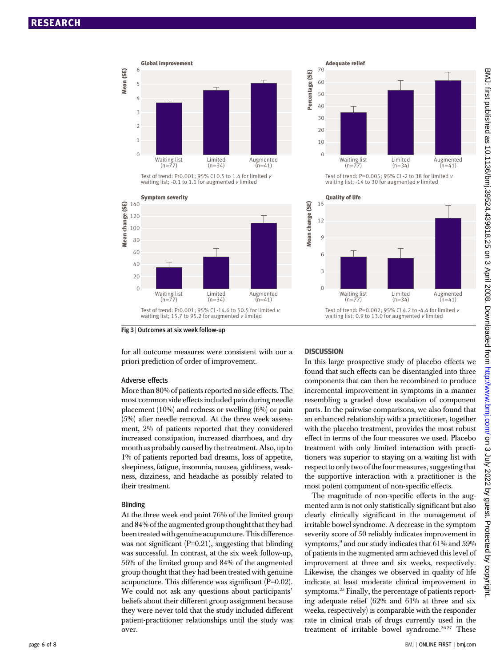







waiting list; -14 to 30 for augmented *v* limited



Fig 3 <sup>|</sup> Outcomes at six week follow-up

for all outcome measures were consistent with our a priori prediction of order of improvement.

#### Adverse effects

More than 80% of patients reported no side effects. The most common side effects included pain during needle placement (10%) and redness or swelling (6%) or pain (5%) after needle removal. At the three week assessment, 2% of patients reported that they considered increased constipation, increased diarrhoea, and dry mouth as probably caused by the treatment. Also, up to 1% of patients reported bad dreams, loss of appetite, sleepiness, fatigue, insomnia, nausea, giddiness, weakness, dizziness, and headache as possibly related to their treatment.

#### Blinding

At the three week end point 76% of the limited group and 84% of the augmented group thought that they had been treated with genuine acupuncture. This difference was not significant  $(P=0.21)$ , suggesting that blinding was successful. In contrast, at the six week follow-up, 56% of the limited group and 84% of the augmented group thought that they had been treated with genuine acupuncture. This difference was significant  $(P=0.02)$ . We could not ask any questions about participants' beliefs about their different group assignment because they were never told that the study included different patient-practitioner relationships until the study was over.

#### **DISCUSSION**

In this large prospective study of placebo effects we found that such effects can be disentangled into three components that can then be recombined to produce incremental improvement in symptoms in a manner resembling a graded dose escalation of component parts. In the pairwise comparisons, we also found that an enhanced relationship with a practitioner, together with the placebo treatment, provides the most robust effect in terms of the four measures we used. Placebo treatment with only limited interaction with practitioners was superior to staying on a waiting list with respect to only two of the four measures, suggesting that the supportive interaction with a practitioner is the most potent component of non-specific effects.

The magnitude of non-specific effects in the augmented arm is not only statistically significant but also clearly clinically significant in the management of irritable bowel syndrome. A decrease in the symptom severity score of 50 reliably indicates improvement in symptoms, $9$  and our study indicates that  $61\%$  and  $59\%$ of patients in the augmented arm achieved this level of improvement at three and six weeks, respectively. Likewise, the changes we observed in quality of life indicate at least moderate clinical improvement in symptoms.25 Finally, the percentage of patients reporting adequate relief (62% and 61% at three and six weeks, respectively) is comparable with the responder rate in clinical trials of drugs currently used in the treatment of irritable bowel syndrome.<sup>2627</sup> These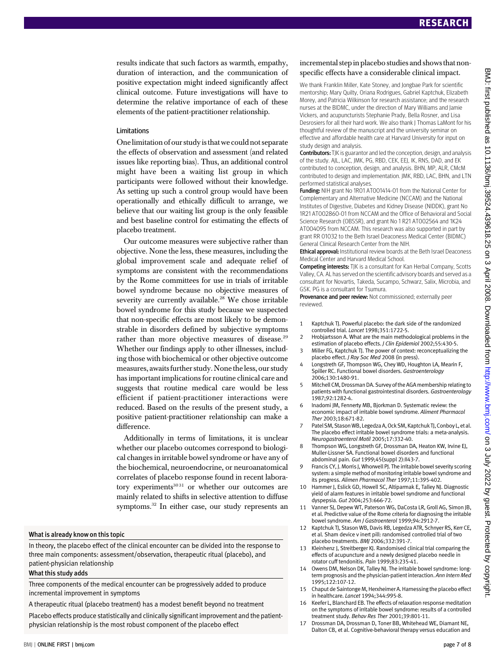results indicate that such factors as warmth, empathy, duration of interaction, and the communication of positive expectation might indeed significantly affect clinical outcome. Future investigations will have to determine the relative importance of each of these elements of the patient-practitioner relationship.

#### Limitations

One limitation of our studyisthat we could not separate the effects of observation and assessment (and related issues like reporting bias). Thus, an additional control might have been a waiting list group in which participants were followed without their knowledge. As setting up such a control group would have been operationally and ethically difficult to arrange, we believe that our waiting list group is the only feasible and best baseline control for estimating the effects of placebo treatment.

Our outcome measures were subjective rather than objective. None the less, these measures, including the global improvement scale and adequate relief of symptoms are consistent with the recommendations by the Rome committees for use in trials of irritable bowel syndrome because no objective measures of severity are currently available.<sup>28</sup> We chose irritable bowel syndrome for this study because we suspected that non-specific effects are most likely to be demonstrable in disorders defined by subjective symptoms rather than more objective measures of disease.<sup>29</sup> Whether our findings apply to other illnesses, including those with biochemical or other objective outcome measures, awaits further study. None the less, our study has important implications for routine clinical care and suggests that routine medical care would be less efficient if patient-practitioner interactions were reduced. Based on the results of the present study, a positive patient-practitioner relationship can make a difference.

Additionally in terms of limitations, it is unclear whether our placebo outcomes correspond to biological changes in irritable bowel syndrome or have any of the biochemical, neuroendocrine, or neuroanatomical correlates of placebo response found in recent laboratory experiments<sup>3031</sup> or whether our outcomes are mainly related to shifts in selective attention to diffuse symptoms.32 In either case, our study represents an

#### What is already know on this topic

In theory, the placebo effect of the clinical encounter can be divided into the response to three main components: assessment/observation, therapeutic ritual (placebo), and patient-physician relationship

#### What this study adds

Three components of the medical encounter can be progressively added to produce incremental improvement in symptoms

A therapeutic ritual (placebo treatment) has a modest benefit beyond no treatment

Placebo effects produce statistically and clinically significant improvement and the patientphysician relationship is the most robust component of the placebo effect

#### incremental step in placebo studies and showsthat nonspecific effects have a considerable clinical impact.

We thank Franklin Miller, Kate Stoney, and Jongbae Park for scientific mentorship; Mary Quilty, Oriana Rodrigues, Gabriel Kaptchuk, Elizabeth Morey, and Patricia Wilkinson for research assistance; and the research nurses at the BIDMC, under the direction of Mary Williams and Jamie Vickers, and acupuncturists Stephanie Prady, Bella Rosner, and Lisa Desrosiers for all their hard work. We also thank J Thomas LaMont for his thoughtful review of the manuscript and the university seminar on effective and affordable health care at Harvard University for input on study design and analysis.

**Contributors:** TJK is guarantor and led the conception, design, and analysis of the study. AJL, LAC, JMK, PG, RBD, CEK, EEJ, IK, RNS, DAD, and EK contributed to conception, design, and analysis. BHN, MP, ALR, CMcM contributed to design and implementation. JMK, RBD, LAC, BHN, and LTN performed statistical analyses.

Funding: NIH grant No 1R01 AT001414-01 from the National Center for Complementary and Alternative Medicine (NCCAM) and the National Institutes of Digestive, Diabetes and Kidney Disease (NIDDK), grant No 1R21 AT002860-01 from NCCAM and the Office of Behavioral and Social Science Research (OBSSR), and grant No 1 R21 AT002564 and 1K24 AT004095 from NCCAM. This research was also supported in part by grant RR 01032 to the Beth Israel Deaconess Medical Center (BIDMC) General Clinical Research Center from the NIH.

Ethical approval: Institutional review boards at the Beth Israel Deaconess Medical Center and Harvard Medical School.

Competing interests: TJK is a consultant for Kan Herbal Company, Scotts Valley, CA. AL has served on the scientific advisory boards and served as a consultant for Novartis, Takeda, Sucampo, Schwarz, Salix, Microbia, and GSK. PG is a consultant for Tsumura.

Provenance and peer review: Not commissioned; externally peer reviewed.

- 1 Kaptchuk TJ. Powerful placebo: the dark side of the randomized controlled trial. Lancet 1998;351:1722-5.
- 2 Hrobjartsson A. What are the main methodological problems in the estimation of placebo effects. J Clin Epidemiol 2002;55:430-5.
- Miller FG, Kaptchuk TJ. The power of context: reconceptualizing the placebo effect. J Roy Soc Med 2008 (in press).
- 4 Longstreth GF, Thompson WG, Chey WD, Houghton LA, Mearin F, Spiller RC. Functional bowel disorders. Gastroenterology 2006;130:1480-91.
- 5 Mitchell CM, Drossman DA. Survey of the AGA membership relating to patients with functional gastrointestinal disorders. Gastroenterology 1987;92:1282-4.
- Inadomi JM, Fennerty MB, Bjorkman D. Systematic review: the economic impact of irritable bowel syndrome. Aliment Pharmacol Ther 2003;18:671-82.
- 7 PatelSM, StasonWB,Legedza A,OckSM, KaptchukTJ, Conboy L, et al. The placebo effect irritable bowel syndrome trials: a meta-analysis. Neurogastroenterol Motil 2005;17:332-40.
- 8 Thompson WG, Longstreth GF, Drossman DA, Heaton KW, Irvine EJ, Muller-Lissner SA. Functional bowel disorders and functional abdominal pain. Gut 1999;45(suppl 2):ll43-7.
- 9 Francis CY, J. Morris J, Whorwell PJ. The irritable bowel severity scoring system: a simple method of monitoring irritable bowel syndrome and its progress. Alimen Pharmacol Ther 1997;11:395-402.
- 10 Hammer J, Eslick GD, Howell SC, Altiparmak E, Talley NJ. Diagnostic yield of alarm features in irritable bowel syndrome and functional dyspepsia. Gut 2004;253:666-72.
- 11 Vanner SJ, Depew WT, Paterson WG, DaCosta LR, Groll AG, Simon JB, et al. Predictive value of the Rome criteria for diagnosing the irritable bowel syndrome. Am J Gastroenterol 1999;94:2912-7.
- 12 Kaptchuk TJ, Stason WB, Davis RB, Legedza ATR, Schnyer RS, Kerr CE, et al. Sham device v inert pill: randomised controlled trial of two placebo treatments. BMJ 2006;332:391-7.
- 13 Kleinhenz J, Streitberger KJ. Randomised clinical trial comparing the effects of acupuncture and a newly designed placebo needle in rotator cuff tendonitis. Pain 1999;83:235-41.
- 14 Owens DM, Nelson DK, Talley NJ. The irritable bowel syndrome: longterm prognosis and the physician-patient interaction. Ann Intern Med 1995;122:107-12.
- 15 Chaput de Saintonge M, Herxheimer A. Harnessing the placebo effect in healthcare. Lancet 1994;344:995-8.
- 16 Keefer L, Blanchard EB. The effects of relaxation response meditation on the symptoms of irritable bowel syndrome: results of a controlled treatment study. Behav Res Ther 2001;39:801-11.
- 17 Drossman DA, Drossman D, Toner BB, Whitehead WE, Diamant NE, Dalton CB, et al. Cognitive-behavioral therapy versus education and